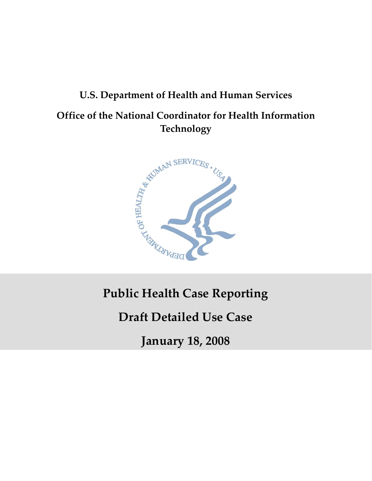# **U.S. Department of Health and Human Services Office of the National Coordinator for Health Information Technology**



## **Public Health Case Reporting**

## **Draft Detailed Use Case**

**January 18, 2008**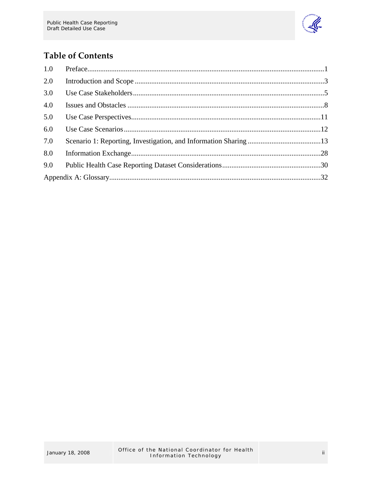

### **Table of Contents**

| 1.0 |  |
|-----|--|
| 2.0 |  |
| 3.0 |  |
| 4.0 |  |
| 5.0 |  |
| 6.0 |  |
| 7.0 |  |
| 8.0 |  |
| 9.0 |  |
|     |  |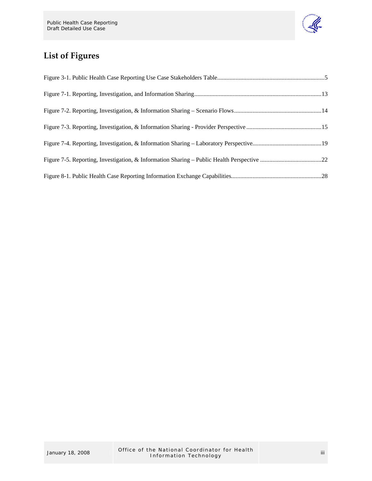

## **List of Figures**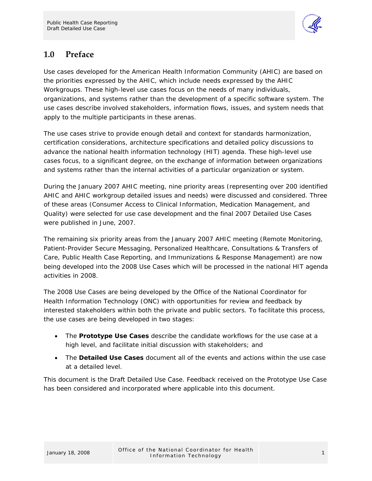

### <span id="page-3-0"></span>**1.0 Preface**

Use cases developed for the American Health Information Community (AHIC) are based on the priorities expressed by the AHIC, which include needs expressed by the AHIC Workgroups. These high-level use cases focus on the needs of many individuals, organizations, and systems rather than the development of a specific software system. The use cases describe involved stakeholders, information flows, issues, and system needs that apply to the multiple participants in these arenas.

The use cases strive to provide enough detail and context for standards harmonization, certification considerations, architecture specifications and detailed policy discussions to advance the national health information technology (HIT) agenda. These high-level use cases focus, to a significant degree, on the exchange of information between organizations and systems rather than the internal activities of a particular organization or system.

During the January 2007 AHIC meeting, nine priority areas (representing over 200 identified AHIC and AHIC workgroup detailed issues and needs) were discussed and considered. Three of these areas (Consumer Access to Clinical Information, Medication Management, and Quality) were selected for use case development and the final 2007 Detailed Use Cases were published in June, 2007.

The remaining six priority areas from the January 2007 AHIC meeting (Remote Monitoring, Patient-Provider Secure Messaging, Personalized Healthcare, Consultations & Transfers of Care, Public Health Case Reporting, and Immunizations & Response Management) are now being developed into the 2008 Use Cases which will be processed in the national HIT agenda activities in 2008.

The 2008 Use Cases are being developed by the Office of the National Coordinator for Health Information Technology (ONC) with opportunities for review and feedback by interested stakeholders within both the private and public sectors. To facilitate this process, the use cases are being developed in two stages:

- The **Prototype Use Cases** describe the candidate workflows for the use case at a high level, and facilitate initial discussion with stakeholders; and
- The **Detailed Use Cases** document all of the events and actions within the use case at a detailed level.

This document is the Draft Detailed Use Case. Feedback received on the Prototype Use Case has been considered and incorporated where applicable into this document.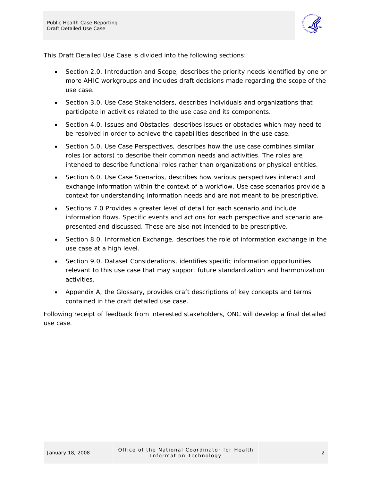

This Draft Detailed Use Case is divided into the following sections:

- Section 2.0, Introduction and Scope, describes the priority needs identified by one or more AHIC workgroups and includes draft decisions made regarding the scope of the use case.
- Section 3.0, Use Case Stakeholders, describes individuals and organizations that participate in activities related to the use case and its components.
- Section 4.0, Issues and Obstacles, describes issues or obstacles which may need to be resolved in order to achieve the capabilities described in the use case.
- Section 5.0, Use Case Perspectives, describes how the use case combines similar roles (or actors) to describe their common needs and activities. The roles are intended to describe functional roles rather than organizations or physical entities.
- Section 6.0, Use Case Scenarios, describes how various perspectives interact and exchange information within the context of a workflow. Use case scenarios provide a context for understanding information needs and are not meant to be prescriptive.
- Sections 7.0 Provides a greater level of detail for each scenario and include information flows. Specific events and actions for each perspective and scenario are presented and discussed. These are also not intended to be prescriptive.
- Section 8.0, Information Exchange, describes the role of information exchange in the use case at a high level.
- Section 9.0, Dataset Considerations, identifies specific information opportunities relevant to this use case that may support future standardization and harmonization activities.
- Appendix A, the Glossary, provides draft descriptions of key concepts and terms contained in the draft detailed use case.

Following receipt of feedback from interested stakeholders, ONC will develop a final detailed use case.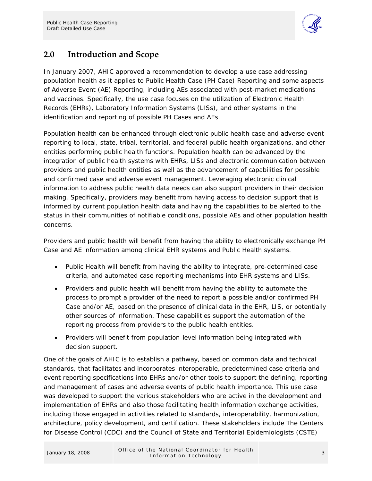

### <span id="page-5-0"></span>**2.0 Introduction and Scope**

In January 2007, AHIC approved a recommendation to develop a use case addressing population health as it applies to Public Health Case (PH Case) Reporting and some aspects of Adverse Event (AE) Reporting, including AEs associated with post-market medications and vaccines. Specifically, the use case focuses on the utilization of Electronic Health Records (EHRs), Laboratory Information Systems (LISs), and other systems in the identification and reporting of possible PH Cases and AEs.

Population health can be enhanced through electronic public health case and adverse event reporting to local, state, tribal, territorial, and federal public health organizations, and other entities performing public health functions. Population health can be advanced by the integration of public health systems with EHRs, LISs and electronic communication between providers and public health entities as well as the advancement of capabilities for possible and confirmed case and adverse event management. Leveraging electronic clinical information to address public health data needs can also support providers in their decision making. Specifically, providers may benefit from having access to decision support that is informed by current population health data and having the capabilities to be alerted to the status in their communities of notifiable conditions, possible AEs and other population health concerns.

Providers and public health will benefit from having the ability to electronically exchange PH Case and AE information among clinical EHR systems and Public Health systems.

- Public Health will benefit from having the ability to integrate, pre-determined case criteria, and automated case reporting mechanisms into EHR systems and LISs.
- Providers and public health will benefit from having the ability to automate the process to prompt a provider of the need to report a possible and/or confirmed PH Case and/or AE, based on the presence of clinical data in the EHR, LIS, or potentially other sources of information. These capabilities support the automation of the reporting process from providers to the public health entities.
- Providers will benefit from population-level information being integrated with decision support.

One of the goals of AHIC is to establish a pathway, based on common data and technical standards, that facilitates and incorporates interoperable, predetermined case criteria and event reporting specifications into EHRs and/or other tools to support the defining, reporting and management of cases and adverse events of public health importance. This use case was developed to support the various stakeholders who are active in the development and implementation of EHRs and also those facilitating health information exchange activities, including those engaged in activities related to standards, interoperability, harmonization, architecture, policy development, and certification. These stakeholders include The Centers for Disease Control (CDC) and the Council of State and Territorial Epidemiologists (CSTE)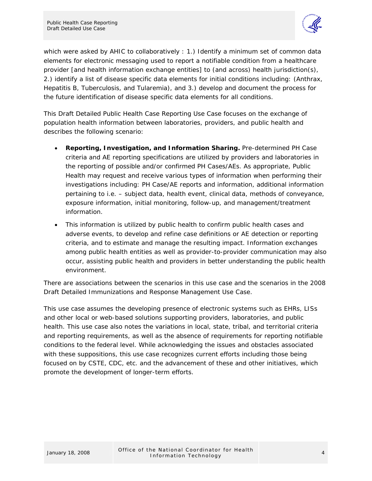

which were asked by AHIC to collaboratively : 1.) Identify a minimum set of common data elements for electronic messaging used to report a notifiable condition from a healthcare provider [and health information exchange entities] to (and across) health jurisdiction(s), 2.) identify a list of disease specific data elements for initial conditions including: (Anthrax, Hepatitis B, Tuberculosis, and Tularemia), and 3.) develop and document the process for the future identification of disease specific data elements for all conditions.

This Draft Detailed Public Health Case Reporting Use Case focuses on the exchange of population health information between laboratories, providers, and public health and describes the following scenario:

- **Reporting, Investigation, and Information Sharing.** Pre-determined PH Case criteria and AE reporting specifications are utilized by providers and laboratories in the reporting of possible and/or confirmed PH Cases/AEs. As appropriate, Public Health may request and receive various types of information when performing their investigations including: PH Case/AE reports and information, additional information pertaining to i.e. – subject data, health event, clinical data, methods of conveyance, exposure information, initial monitoring, follow-up, and management/treatment information.
- This information is utilized by public health to confirm public health cases and adverse events, to develop and refine case definitions or AE detection or reporting criteria, and to estimate and manage the resulting impact. Information exchanges among public health entities as well as provider-to-provider communication may also occur, assisting public health and providers in better understanding the public health environment.

There are associations between the scenarios in this use case and the scenarios in the 2008 Draft Detailed Immunizations and Response Management Use Case.

This use case assumes the developing presence of electronic systems such as EHRs, LISs and other local or web-based solutions supporting providers, laboratories, and public health. This use case also notes the variations in local, state, tribal, and territorial criteria and reporting requirements, as well as the absence of requirements for reporting notifiable conditions to the federal level. While acknowledging the issues and obstacles associated with these suppositions, this use case recognizes current efforts including those being focused on by CSTE, CDC, etc. and the advancement of these and other initiatives, which promote the development of longer-term efforts.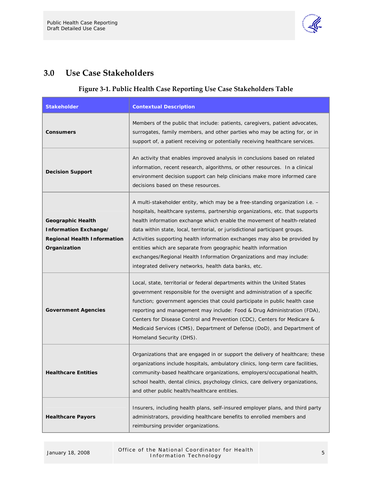

### <span id="page-7-0"></span>**3.0 Use Case Stakeholders**

#### **Figure 3‐1. Public Health Case Reporting Use Case Stakeholders Table**

| <b>Stakeholder</b>                                                                                      | <b>Contextual Description</b>                                                                                                                                                                                                                                                                                                                                                                                                                                                                                                                                                                            |
|---------------------------------------------------------------------------------------------------------|----------------------------------------------------------------------------------------------------------------------------------------------------------------------------------------------------------------------------------------------------------------------------------------------------------------------------------------------------------------------------------------------------------------------------------------------------------------------------------------------------------------------------------------------------------------------------------------------------------|
| <b>Consumers</b>                                                                                        | Members of the public that include: patients, caregivers, patient advocates,<br>surrogates, family members, and other parties who may be acting for, or in<br>support of, a patient receiving or potentially receiving healthcare services.                                                                                                                                                                                                                                                                                                                                                              |
| <b>Decision Support</b>                                                                                 | An activity that enables improved analysis in conclusions based on related<br>information, recent research, algorithms, or other resources. In a clinical<br>environment decision support can help clinicians make more informed care<br>decisions based on these resources.                                                                                                                                                                                                                                                                                                                             |
| <b>Geographic Health</b><br>Information Exchange/<br><b>Regional Health Information</b><br>Organization | A multi-stakeholder entity, which may be a free-standing organization i.e. -<br>hospitals, healthcare systems, partnership organizations, etc. that supports<br>health information exchange which enable the movement of health-related<br>data within state, local, territorial, or jurisdictional participant groups.<br>Activities supporting health information exchanges may also be provided by<br>entities which are separate from geographic health information<br>exchanges/Regional Health Information Organizations and may include:<br>integrated delivery networks, health data banks, etc. |
| <b>Government Agencies</b>                                                                              | Local, state, territorial or federal departments within the United States<br>government responsible for the oversight and administration of a specific<br>function; government agencies that could participate in public health case<br>reporting and management may include: Food & Drug Administration (FDA),<br>Centers for Disease Control and Prevention (CDC), Centers for Medicare &<br>Medicaid Services (CMS), Department of Defense (DoD), and Department of<br>Homeland Security (DHS).                                                                                                       |
| <b>Healthcare Entities</b>                                                                              | Organizations that are engaged in or support the delivery of healthcare; these<br>organizations include hospitals, ambulatory clinics, long-term care facilities,<br>community-based healthcare organizations, employers/occupational health,<br>school health, dental clinics, psychology clinics, care delivery organizations,<br>and other public health/healthcare entities.                                                                                                                                                                                                                         |
| <b>Healthcare Payors</b>                                                                                | Insurers, including health plans, self-insured employer plans, and third party<br>administrators, providing healthcare benefits to enrolled members and<br>reimbursing provider organizations.                                                                                                                                                                                                                                                                                                                                                                                                           |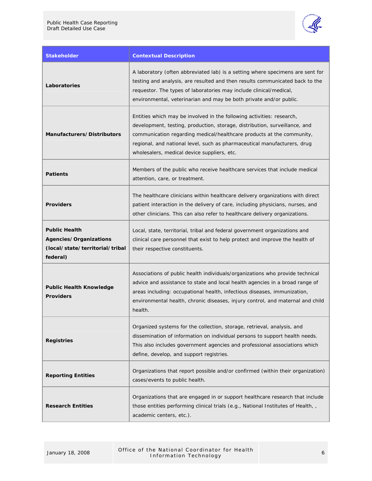

| <b>Stakeholder</b>                                                                            | <b>Contextual Description</b>                                                                                                                                                                                                                                                                                                                           |
|-----------------------------------------------------------------------------------------------|---------------------------------------------------------------------------------------------------------------------------------------------------------------------------------------------------------------------------------------------------------------------------------------------------------------------------------------------------------|
| Laboratories                                                                                  | A laboratory (often abbreviated lab) is a setting where specimens are sent for<br>testing and analysis, are resulted and then results communicated back to the<br>requestor. The types of laboratories may include clinical/medical,<br>environmental, veterinarian and may be both private and/or public.                                              |
| Manufacturers/Distributors                                                                    | Entities which may be involved in the following activities: research,<br>development, testing, production, storage, distribution, surveillance, and<br>communication regarding medical/healthcare products at the community,<br>regional, and national level, such as pharmaceutical manufacturers, drug<br>wholesalers, medical device suppliers, etc. |
| <b>Patients</b>                                                                               | Members of the public who receive healthcare services that include medical<br>attention, care, or treatment.                                                                                                                                                                                                                                            |
| <b>Providers</b>                                                                              | The healthcare clinicians within healthcare delivery organizations with direct<br>patient interaction in the delivery of care, including physicians, nurses, and<br>other clinicians. This can also refer to healthcare delivery organizations.                                                                                                         |
| <b>Public Health</b><br>Agencies/Organizations<br>(local/state/territorial/tribal<br>federal) | Local, state, territorial, tribal and federal government organizations and<br>clinical care personnel that exist to help protect and improve the health of<br>their respective constituents.                                                                                                                                                            |
| <b>Public Health Knowledge</b><br><b>Providers</b>                                            | Associations of public health individuals/organizations who provide technical<br>advice and assistance to state and local health agencies in a broad range of<br>areas including: occupational health, infectious diseases, immunization,<br>environmental health, chronic diseases, injury control, and maternal and child<br>health.                  |
| <b>Registries</b>                                                                             | Organized systems for the collection, storage, retrieval, analysis, and<br>dissemination of information on individual persons to support health needs.<br>This also includes government agencies and professional associations which<br>define, develop, and support registries.                                                                        |
| <b>Reporting Entities</b>                                                                     | Organizations that report possible and/or confirmed (within their organization)<br>cases/events to public health.                                                                                                                                                                                                                                       |
| <b>Research Entities</b>                                                                      | Organizations that are engaged in or support healthcare research that include<br>those entities performing clinical trials (e.g., National Institutes of Health, ,<br>academic centers, etc.).                                                                                                                                                          |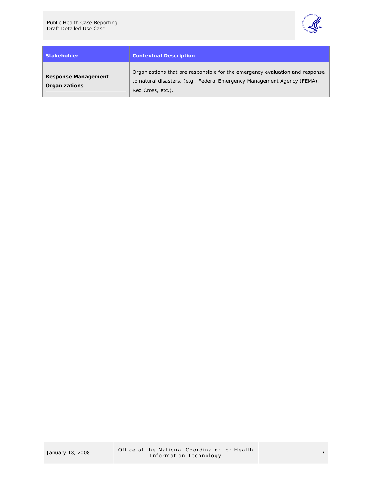

| <b>Stakeholder</b>                          | <b>Contextual Description</b>                                                                                                                                                 |
|---------------------------------------------|-------------------------------------------------------------------------------------------------------------------------------------------------------------------------------|
| <b>Response Management</b><br>Organizations | Organizations that are responsible for the emergency evaluation and response<br>to natural disasters. (e.g., Federal Emergency Management Agency (FEMA),<br>Red Cross, etc.). |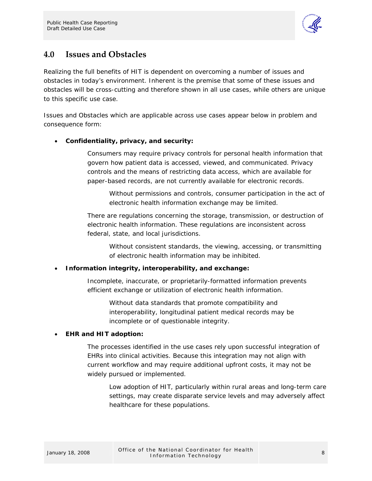

### <span id="page-10-0"></span>**4.0 Issues and Obstacles**

Realizing the full benefits of HIT is dependent on overcoming a number of issues and obstacles in today's environment. Inherent is the premise that some of these issues and obstacles will be cross-cutting and therefore shown in all use cases, while others are unique to this specific use case.

Issues and Obstacles which are applicable across use cases appear below in problem and consequence form:

#### • **Confidentiality, privacy, and security:**

Consumers may require privacy controls for personal health information that govern how patient data is accessed, viewed, and communicated. Privacy controls and the means of restricting data access, which are available for paper-based records, are not currently available for electronic records.

Without permissions and controls, consumer participation in the act of electronic health information exchange may be limited.

There are regulations concerning the storage, transmission, or destruction of electronic health information. These regulations are inconsistent across federal, state, and local jurisdictions.

Without consistent standards, the viewing, accessing, or transmitting of electronic health information may be inhibited.

#### • **Information integrity, interoperability, and exchange:**

Incomplete, inaccurate, or proprietarily-formatted information prevents efficient exchange or utilization of electronic health information.

Without data standards that promote compatibility and interoperability, longitudinal patient medical records may be incomplete or of questionable integrity.

#### • **EHR and HIT adoption:**

The processes identified in the use cases rely upon successful integration of EHRs into clinical activities. Because this integration may not align with current workflow and may require additional upfront costs, it may not be widely pursued or implemented.

Low adoption of HIT, particularly within rural areas and long-term care settings, may create disparate service levels and may adversely affect healthcare for these populations.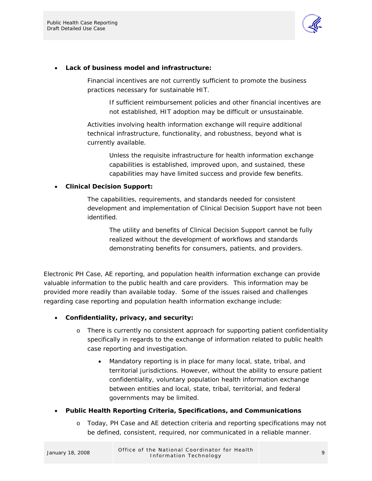

#### • **Lack of business model and infrastructure:**

Financial incentives are not currently sufficient to promote the business practices necessary for sustainable HIT.

If sufficient reimbursement policies and other financial incentives are not established, HIT adoption may be difficult or unsustainable.

Activities involving health information exchange will require additional technical infrastructure, functionality, and robustness, beyond what is currently available.

> Unless the requisite infrastructure for health information exchange capabilities is established, improved upon, and sustained, these capabilities may have limited success and provide few benefits.

#### • **Clinical Decision Support:**

The capabilities, requirements, and standards needed for consistent development and implementation of Clinical Decision Support have not been identified.

The utility and benefits of Clinical Decision Support cannot be fully realized without the development of workflows and standards demonstrating benefits for consumers, patients, and providers.

Electronic PH Case, AE reporting, and population health information exchange can provide valuable information to the public health and care providers. This information may be provided more readily than available today. Some of the issues raised and challenges regarding case reporting and population health information exchange include:

- **Confidentiality, privacy, and security:** 
	- o There is currently no consistent approach for supporting patient confidentiality specifically in regards to the exchange of information related to public health case reporting and investigation.
		- Mandatory reporting is in place for many local, state, tribal, and territorial jurisdictions. However, without the ability to ensure patient confidentiality, voluntary population health information exchange between entities and local, state, tribal, territorial, and federal governments may be limited.

#### • **Public Health Reporting Criteria, Specifications, and Communications**

o Today, PH Case and AE detection criteria and reporting specifications may not be defined, consistent, required, nor communicated in a reliable manner.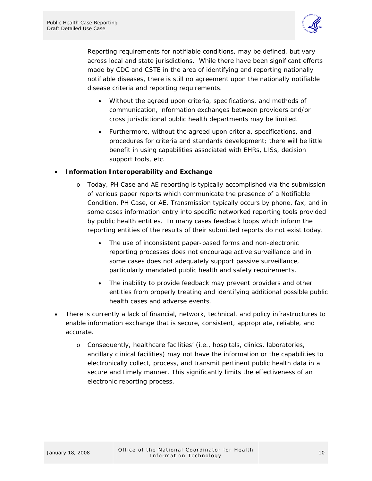

Reporting requirements for notifiable conditions, may be defined, but vary across local and state jurisdictions. While there have been significant efforts made by CDC and CSTE in the area of identifying and reporting nationally notifiable diseases, there is still no agreement upon the nationally notifiable disease criteria and reporting requirements.

- Without the agreed upon criteria, specifications, and methods of communication, information exchanges between providers and/or cross jurisdictional public health departments may be limited.
- Furthermore, without the agreed upon criteria, specifications, and procedures for criteria and standards development; there will be little benefit in using capabilities associated with EHRs, LISs, decision support tools, etc.

#### • **Information Interoperability and Exchange**

- o Today, PH Case and AE reporting is typically accomplished via the submission of various paper reports which communicate the presence of a Notifiable Condition, PH Case, or AE. Transmission typically occurs by phone, fax, and in some cases information entry into specific networked reporting tools provided by public health entities. In many cases feedback loops which inform the reporting entities of the results of their submitted reports do not exist today.
	- The use of inconsistent paper-based forms and non-electronic reporting processes does not encourage active surveillance and in some cases does not adequately support passive surveillance, particularly mandated public health and safety requirements.
	- The inability to provide feedback may prevent providers and other entities from properly treating and identifying additional possible public health cases and adverse events.
- There is currently a lack of financial, network, technical, and policy infrastructures to enable information exchange that is secure, consistent, appropriate, reliable, and accurate.
	- o Consequently, healthcare facilities' (i.e., hospitals, clinics, laboratories, ancillary clinical facilities) may not have the information or the capabilities to electronically collect, process, and transmit pertinent public health data in a secure and timely manner. This significantly limits the effectiveness of an electronic reporting process.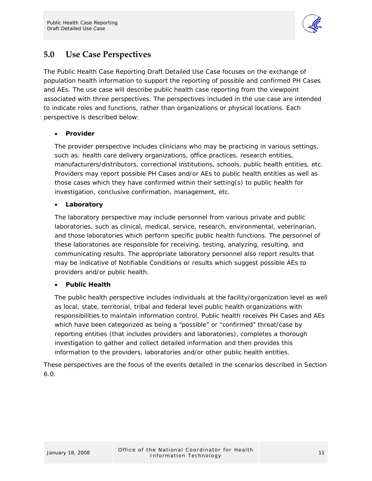

### <span id="page-13-0"></span>**5.0 Use Case Perspectives**

The Public Health Case Reporting Draft Detailed Use Case focuses on the exchange of population health information to support the reporting of possible and confirmed PH Cases and AEs. The use case will describe public health case reporting from the viewpoint associated with three perspectives. The perspectives included in the use case are intended to indicate roles and functions, rather than organizations or physical locations. Each perspective is described below:

#### • **Provider**

The provider perspective includes clinicians who may be practicing in various settings, such as: health care delivery organizations, office practices, research entities, manufacturers/distributors, correctional institutions, schools, public health entities, etc. Providers may report possible PH Cases and/or AEs to public health entities as well as those cases which they have confirmed within their setting(s) to public health for investigation, conclusive confirmation, management, etc.

#### • **Laboratory**

The laboratory perspective may include personnel from various private and public laboratories, such as clinical, medical, service, research, environmental, veterinarian, and those laboratories which perform specific public health functions. The personnel of these laboratories are responsible for receiving, testing, analyzing, resulting, and communicating results. The appropriate laboratory personnel also report results that may be indicative of Notifiable Conditions or results which suggest possible AEs to providers and/or public health.

#### • **Public Health**

The public health perspective includes individuals at the facility/organization level as well as local, state, territorial, tribal and federal level public health organizations with responsibilities to maintain information control. Public health receives PH Cases and AEs which have been categorized as being a "possible" or "confirmed" threat/case by reporting entities (that includes providers and laboratories), completes a thorough investigation to gather and collect detailed information and then provides this information to the providers, laboratories and/or other public health entities.

These perspectives are the focus of the events detailed in the scenarios described in Section 6.0.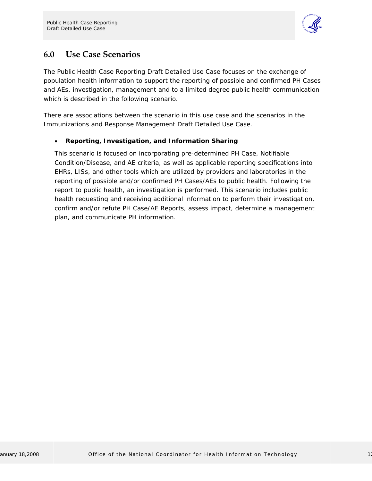

### <span id="page-14-0"></span>**6.0 Use Case Scenarios**

The Public Health Case Reporting Draft Detailed Use Case focuses on the exchange of population health information to support the reporting of possible and confirmed PH Cases and AEs, investigation, management and to a limited degree public health communication which is described in the following scenario.

There are associations between the scenario in this use case and the scenarios in the Immunizations and Response Management Draft Detailed Use Case.

#### • **Reporting, Investigation, and Information Sharing**

This scenario is focused on incorporating pre-determined PH Case, Notifiable Condition/Disease, and AE criteria, as well as applicable reporting specifications into EHRs, LISs, and other tools which are utilized by providers and laboratories in the reporting of possible and/or confirmed PH Cases/AEs to public health. Following the report to public health, an investigation is performed. This scenario includes public health requesting and receiving additional information to perform their investigation, confirm and/or refute PH Case/AE Reports, assess impact, determine a management plan, and communicate PH information.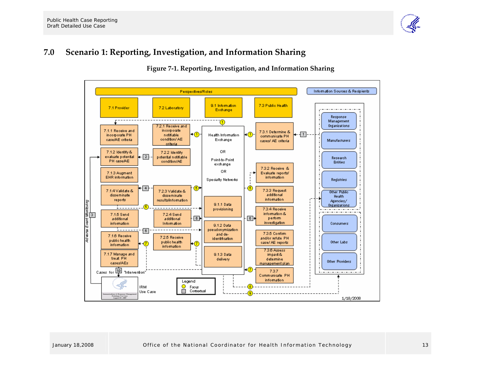

#### **7.0Scenario 1: Reporting, Investigation, and Information Sharing**

#### **Figure <sup>7</sup>‐1. Reporting, Investigation, and Information Sharing**

<span id="page-15-0"></span>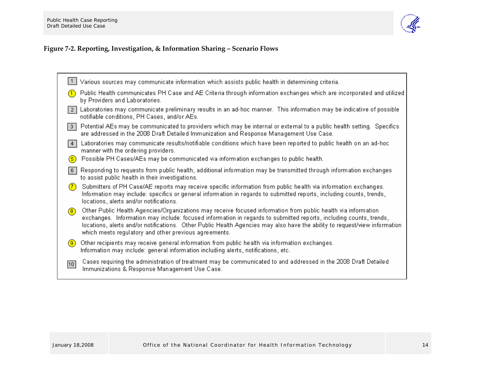

### **Figure <sup>7</sup>‐2. Reporting, Investigation, & Information Sharing – Scenario Flows**

<span id="page-16-0"></span>

|                 | Various sources may communicate information which assists public health in determining criteria.                                                                                                                                                                                                                                                                                                                           |
|-----------------|----------------------------------------------------------------------------------------------------------------------------------------------------------------------------------------------------------------------------------------------------------------------------------------------------------------------------------------------------------------------------------------------------------------------------|
|                 | Public Health communicates PH Case and AE Criteria through information exchanges which are incorporated and utilized<br>by Providers and Laboratories.                                                                                                                                                                                                                                                                     |
| $\vert 2 \vert$ | Laboratories may communicate preliminary results in an ad-hoc manner. This information may be indicative of possible<br>notifiable conditions, PH Cases, and/or AEs.                                                                                                                                                                                                                                                       |
| 3               | Potential AEs may be communicated to providers which may be internal or external to a public health setting. Specifics<br>are addressed in the 2008 Draft Detailed Immunization and Response Management Use Case.                                                                                                                                                                                                          |
| 4               | Laboratories may communicate results/notifiable conditions which have been reported to public health on an ad-hoc<br>manner with the ordering providers.                                                                                                                                                                                                                                                                   |
| (5)             | Possible PH Cases/AEs may be communicated via information exchanges to public health.                                                                                                                                                                                                                                                                                                                                      |
| 6               | Responding to requests from public health, additional information may be transmitted through information exchanges<br>to assist public health in their investigations.                                                                                                                                                                                                                                                     |
| (7)             | Submitters of PH Case/AE reports may receive specific information from public health via information exchanges.<br>Information may include: specifics or general information in regards to submitted reports, including counts, trends,<br>locations, alerts and/or notifications.                                                                                                                                         |
| (8)             | Other Public Health Agencies/Organizations may receive focused information from public health via information<br>exchanges. Information may include: focused information in regards to submitted reports, including counts, trends,<br>locations, alerts and/or notifications. Other Public Health Agencies may also have the ability to request/view information<br>which meets regulatory and other previous agreements. |
| (9)             | Other recipients may receive general information from public health via information exchanges.<br>Information may include: general information including alerts, notifications, etc.                                                                                                                                                                                                                                       |
| 10              | Cases requiring the administration of treatment may be communicated to and addressed in the 2008 Draft Detailed<br>Immunizations & Response Management Use Case.                                                                                                                                                                                                                                                           |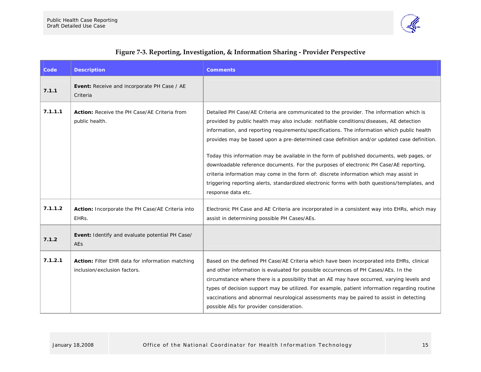

<span id="page-17-0"></span>

| Code    | <b>Description</b>                                                               | <b>Comments</b>                                                                                                                                                                                                                                                                                                                                                                                                                                                                                                                                                                                                                                                                                                                                                                           |
|---------|----------------------------------------------------------------------------------|-------------------------------------------------------------------------------------------------------------------------------------------------------------------------------------------------------------------------------------------------------------------------------------------------------------------------------------------------------------------------------------------------------------------------------------------------------------------------------------------------------------------------------------------------------------------------------------------------------------------------------------------------------------------------------------------------------------------------------------------------------------------------------------------|
| 7.1.1   | Event: Receive and incorporate PH Case / AE<br>Criteria                          |                                                                                                                                                                                                                                                                                                                                                                                                                                                                                                                                                                                                                                                                                                                                                                                           |
| 7.1.1.1 | <b>Action:</b> Receive the PH Case/AE Criteria from<br>public health.            | Detailed PH Case/AE Criteria are communicated to the provider. The information which is<br>provided by public health may also include: notifiable conditions/diseases, AE detection<br>information, and reporting requirements/specifications. The information which public health<br>provides may be based upon a pre-determined case definition and/or updated case definition.<br>Today this information may be available in the form of published documents, web pages, or<br>downloadable reference documents. For the purposes of electronic PH Case/AE reporting,<br>criteria information may come in the form of: discrete information which may assist in<br>triggering reporting alerts, standardized electronic forms with both questions/templates, and<br>response data etc. |
| 7.1.1.2 | Action: Incorporate the PH Case/AE Criteria into<br>EHRS.                        | Electronic PH Case and AE Criteria are incorporated in a consistent way into EHRs, which may<br>assist in determining possible PH Cases/AEs.                                                                                                                                                                                                                                                                                                                                                                                                                                                                                                                                                                                                                                              |
| 7.1.2   | Event: Identify and evaluate potential PH Case/<br>AEs                           |                                                                                                                                                                                                                                                                                                                                                                                                                                                                                                                                                                                                                                                                                                                                                                                           |
| 7.1.2.1 | Action: Filter EHR data for information matching<br>inclusion/exclusion factors. | Based on the defined PH Case/AE Criteria which have been incorporated into EHRs, clinical<br>and other information is evaluated for possible occurrences of PH Cases/AEs. In the<br>circumstance where there is a possibility that an AE may have occurred, varying levels and<br>types of decision support may be utilized. For example, patient information regarding routine<br>vaccinations and abnormal neurological assessments may be paired to assist in detecting<br>possible AEs for provider consideration.                                                                                                                                                                                                                                                                    |

#### **Figure <sup>7</sup>‐3. Reporting, Investigation, & Information Sharing ‐ Provider Perspective**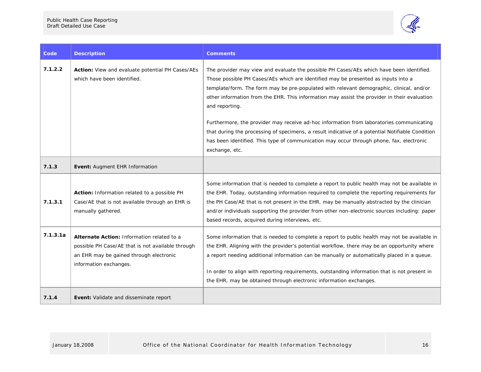

| Code     | <b>Description</b>                                                                                                                                                   | <b>Comments</b>                                                                                                                                                                                                                                                                                                                                                                                                                                                    |
|----------|----------------------------------------------------------------------------------------------------------------------------------------------------------------------|--------------------------------------------------------------------------------------------------------------------------------------------------------------------------------------------------------------------------------------------------------------------------------------------------------------------------------------------------------------------------------------------------------------------------------------------------------------------|
| 7.1.2.2  | Action: View and evaluate potential PH Cases/AEs<br>which have been identified.                                                                                      | The provider may view and evaluate the possible PH Cases/AEs which have been identified.<br>Those possible PH Cases/AEs which are identified may be presented as inputs into a<br>template/form. The form may be pre-populated with relevant demographic, clinical, and/or<br>other information from the EHR. This information may assist the provider in their evaluation<br>and reporting.                                                                       |
|          |                                                                                                                                                                      | Furthermore, the provider may receive ad-hoc information from laboratories communicating<br>that during the processing of specimens, a result indicative of a potential Notifiable Condition<br>has been identified. This type of communication may occur through phone, fax, electronic<br>exchange, etc.                                                                                                                                                         |
| 7.1.3    | Event: Augment EHR Information                                                                                                                                       |                                                                                                                                                                                                                                                                                                                                                                                                                                                                    |
| 7.1.3.1  | Action: Information related to a possible PH<br>Case/AE that is not available through an EHR is<br>manually gathered.                                                | Some information that is needed to complete a report to public health may not be available in<br>the EHR. Today, outstanding information required to complete the reporting requirements for<br>the PH Case/AE that is not present in the EHR, may be manually abstracted by the clinician<br>and/or individuals supporting the provider from other non-electronic sources including: paper<br>based records, acquired during interviews, etc.                     |
| 7.1.3.1a | Alternate Action: Information related to a<br>possible PH Case/AE that is not available through<br>an EHR may be gained through electronic<br>information exchanges. | Some information that is needed to complete a report to public health may not be available in<br>the EHR. Aligning with the provider's potential workflow, there may be an opportunity where<br>a report needing additional information can be manually or automatically placed in a queue.<br>In order to align with reporting requirements, outstanding information that is not present in<br>the EHR, may be obtained through electronic information exchanges. |
| 7.1.4    | Event: Validate and disseminate report                                                                                                                               |                                                                                                                                                                                                                                                                                                                                                                                                                                                                    |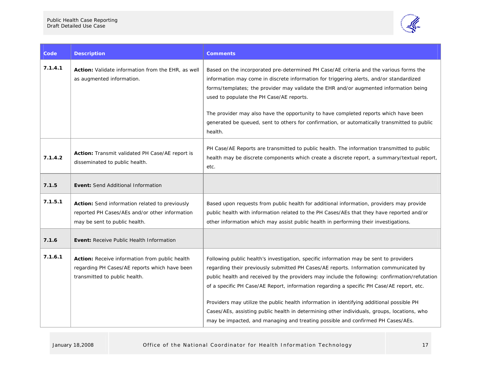

| Code    | <b>Description</b>                                                                                                                      | Comments                                                                                                                                                                                                                                                                                                                                                                                                                                                                                                                                                                                                                                                      |
|---------|-----------------------------------------------------------------------------------------------------------------------------------------|---------------------------------------------------------------------------------------------------------------------------------------------------------------------------------------------------------------------------------------------------------------------------------------------------------------------------------------------------------------------------------------------------------------------------------------------------------------------------------------------------------------------------------------------------------------------------------------------------------------------------------------------------------------|
| 7.1.4.1 | Action: Validate information from the EHR, as well<br>as augmented information.                                                         | Based on the incorporated pre-determined PH Case/AE criteria and the various forms the<br>information may come in discrete information for triggering alerts, and/or standardized<br>forms/templates; the provider may validate the EHR and/or augmented information being<br>used to populate the PH Case/AE reports.<br>The provider may also have the opportunity to have completed reports which have been<br>generated be queued, sent to others for confirmation, or automatically transmitted to public<br>health.                                                                                                                                     |
| 7.1.4.2 | Action: Transmit validated PH Case/AE report is<br>disseminated to public health.                                                       | PH Case/AE Reports are transmitted to public health. The information transmitted to public<br>health may be discrete components which create a discrete report, a summary/textual report,<br>etc.                                                                                                                                                                                                                                                                                                                                                                                                                                                             |
| 7.1.5   | <b>Event:</b> Send Additional Information                                                                                               |                                                                                                                                                                                                                                                                                                                                                                                                                                                                                                                                                                                                                                                               |
| 7.1.5.1 | Action: Send information related to previously<br>reported PH Cases/AEs and/or other information<br>may be sent to public health.       | Based upon requests from public health for additional information, providers may provide<br>public health with information related to the PH Cases/AEs that they have reported and/or<br>other information which may assist public health in performing their investigations.                                                                                                                                                                                                                                                                                                                                                                                 |
| 7.1.6   | <b>Event:</b> Receive Public Health Information                                                                                         |                                                                                                                                                                                                                                                                                                                                                                                                                                                                                                                                                                                                                                                               |
| 7.1.6.1 | <b>Action:</b> Receive information from public health<br>regarding PH Cases/AE reports which have been<br>transmitted to public health. | Following public health's investigation, specific information may be sent to providers<br>regarding their previously submitted PH Cases/AE reports. Information communicated by<br>public health and received by the providers may include the following: confirmation/refutation<br>of a specific PH Case/AE Report, information regarding a specific PH Case/AE report, etc.<br>Providers may utilize the public health information in identifying additional possible PH<br>Cases/AEs, assisting public health in determining other individuals, groups, locations, who<br>may be impacted, and managing and treating possible and confirmed PH Cases/AEs. |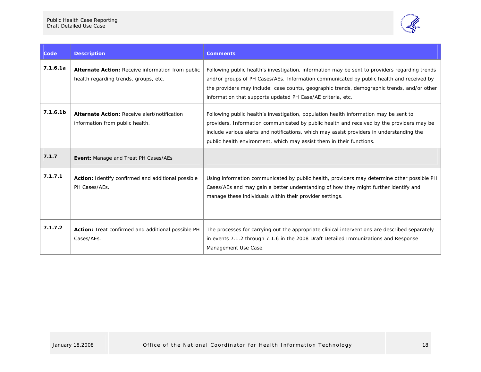

| Code                 | <b>Description</b>                                                                         | <b>Comments</b>                                                                                                                                                                                                                                                                                                                                          |
|----------------------|--------------------------------------------------------------------------------------------|----------------------------------------------------------------------------------------------------------------------------------------------------------------------------------------------------------------------------------------------------------------------------------------------------------------------------------------------------------|
| 7.1.6.1a             | Alternate Action: Receive information from public<br>health regarding trends, groups, etc. | Following public health's investigation, information may be sent to providers regarding trends<br>and/or groups of PH Cases/AEs. Information communicated by public health and received by<br>the providers may include: case counts, geographic trends, demographic trends, and/or other<br>information that supports updated PH Case/AE criteria, etc. |
| 7.1.6.1 <sub>b</sub> | Alternate Action: Receive alert/notification<br>information from public health.            | Following public health's investigation, population health information may be sent to<br>providers. Information communicated by public health and received by the providers may be<br>include various alerts and notifications, which may assist providers in understanding the<br>public health environment, which may assist them in their functions.  |
| 7.1.7                | Event: Manage and Treat PH Cases/AEs                                                       |                                                                                                                                                                                                                                                                                                                                                          |
| 7.1.7.1              | Action: Identify confirmed and additional possible<br>PH Cases/AEs.                        | Using information communicated by public health, providers may determine other possible PH<br>Cases/AEs and may gain a better understanding of how they might further identify and<br>manage these individuals within their provider settings.                                                                                                           |
| 7.1.7.2              | Action: Treat confirmed and additional possible PH<br>Cases/AEs.                           | The processes for carrying out the appropriate clinical interventions are described separately<br>in events 7.1.2 through 7.1.6 in the 2008 Draft Detailed Immunizations and Response<br>Management Use Case.                                                                                                                                            |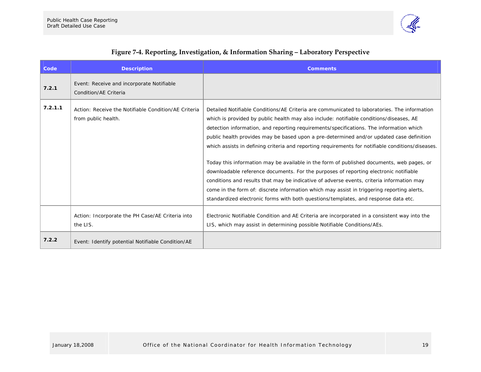

<span id="page-21-0"></span>

| Code    | <b>Description</b>                                                          | <b>Comments</b>                                                                                                                                                                                                                                                                                                                                                                                                                                                                                                                                                                                                                                                                                                                                                                                                                                                                                                                                             |
|---------|-----------------------------------------------------------------------------|-------------------------------------------------------------------------------------------------------------------------------------------------------------------------------------------------------------------------------------------------------------------------------------------------------------------------------------------------------------------------------------------------------------------------------------------------------------------------------------------------------------------------------------------------------------------------------------------------------------------------------------------------------------------------------------------------------------------------------------------------------------------------------------------------------------------------------------------------------------------------------------------------------------------------------------------------------------|
| 7.2.1   | Event: Receive and incorporate Notifiable<br>Condition/AE Criteria          |                                                                                                                                                                                                                                                                                                                                                                                                                                                                                                                                                                                                                                                                                                                                                                                                                                                                                                                                                             |
| 7.2.1.1 | Action: Receive the Notifiable Condition/AE Criteria<br>from public health. | Detailed Notifiable Conditions/AE Criteria are communicated to laboratories. The information<br>which is provided by public health may also include: notifiable conditions/diseases, AE<br>detection information, and reporting requirements/specifications. The information which<br>public health provides may be based upon a pre-determined and/or updated case definition<br>which assists in defining criteria and reporting requirements for notifiable conditions/diseases.<br>Today this information may be available in the form of published documents, web pages, or<br>downloadable reference documents. For the purposes of reporting electronic notifiable<br>conditions and results that may be indicative of adverse events, criteria information may<br>come in the form of: discrete information which may assist in triggering reporting alerts,<br>standardized electronic forms with both questions/templates, and response data etc. |
|         | Action: Incorporate the PH Case/AE Criteria into<br>the LIS.                | Electronic Notifiable Condition and AE Criteria are incorporated in a consistent way into the<br>LIS, which may assist in determining possible Notifiable Conditions/AEs.                                                                                                                                                                                                                                                                                                                                                                                                                                                                                                                                                                                                                                                                                                                                                                                   |
| 7.2.2   | Event: Identify potential Notifiable Condition/AE                           |                                                                                                                                                                                                                                                                                                                                                                                                                                                                                                                                                                                                                                                                                                                                                                                                                                                                                                                                                             |

#### **Figure <sup>7</sup>‐4. Reporting, Investigation, & Information Sharing – Laboratory Perspective**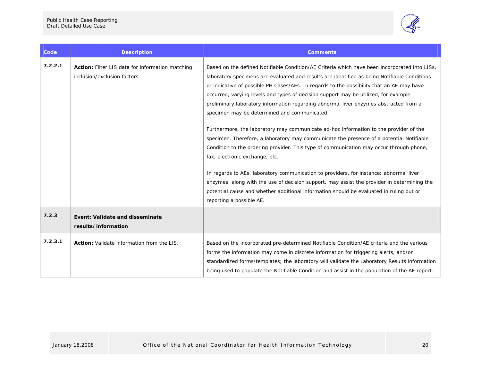

| Code    | <b>Description</b>                                                               | <b>Comments</b>                                                                                                                                                                                                                                                                                                                                                                                                                                                                                                                                                                                                                                                                                                                                                                                                                                                                                                                                                                                                                                                                                                                                              |
|---------|----------------------------------------------------------------------------------|--------------------------------------------------------------------------------------------------------------------------------------------------------------------------------------------------------------------------------------------------------------------------------------------------------------------------------------------------------------------------------------------------------------------------------------------------------------------------------------------------------------------------------------------------------------------------------------------------------------------------------------------------------------------------------------------------------------------------------------------------------------------------------------------------------------------------------------------------------------------------------------------------------------------------------------------------------------------------------------------------------------------------------------------------------------------------------------------------------------------------------------------------------------|
| 7.2.2.1 | Action: Filter LIS data for information matching<br>inclusion/exclusion factors. | Based on the defined Notifiable Condition/AE Criteria which have been incorporated into LISs,<br>laboratory specimens are evaluated and results are identified as being Notifiable Conditions<br>or indicative of possible PH Cases/AEs. In regards to the possibility that an AE may have<br>occurred, varying levels and types of decision support may be utilized, for example<br>preliminary laboratory information regarding abnormal liver enzymes abstracted from a<br>specimen may be determined and communicated.<br>Furthermore, the laboratory may communicate ad-hoc information to the provider of the<br>specimen. Therefore, a laboratory may communicate the presence of a potential Notifiable<br>Condition to the ordering provider. This type of communication may occur through phone,<br>fax, electronic exchange, etc.<br>In regards to AEs, laboratory communication to providers, for instance: abnormal liver<br>enzymes, along with the use of decision support, may assist the provider in determining the<br>potential cause and whether additional information should be evaluated in ruling out or<br>reporting a possible AE. |
| 7.2.3   | Event: Validate and disseminate<br>results/information                           |                                                                                                                                                                                                                                                                                                                                                                                                                                                                                                                                                                                                                                                                                                                                                                                                                                                                                                                                                                                                                                                                                                                                                              |
| 7.2.3.1 | Action: Validate information from the LIS.                                       | Based on the incorporated pre-determined Notifiable Condition/AE criteria and the various<br>forms the information may come in discrete information for triggering alerts, and/or<br>standardized forms/templates; the laboratory will validate the Laboratory Results information<br>being used to populate the Notifiable Condition and assist in the population of the AE report.                                                                                                                                                                                                                                                                                                                                                                                                                                                                                                                                                                                                                                                                                                                                                                         |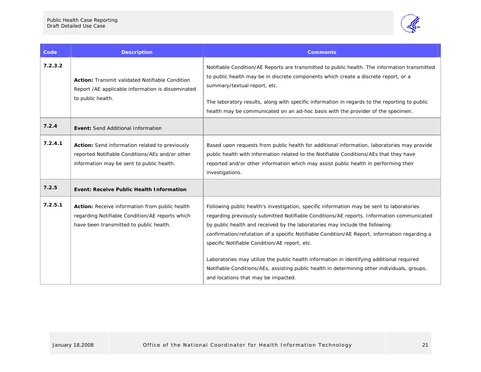

| Code    | <b>Description</b>                                                                                                                             | <b>Comments</b>                                                                                                                                                                                                                                                                                                                                                                                                                                                                                                                                                                                                                                              |
|---------|------------------------------------------------------------------------------------------------------------------------------------------------|--------------------------------------------------------------------------------------------------------------------------------------------------------------------------------------------------------------------------------------------------------------------------------------------------------------------------------------------------------------------------------------------------------------------------------------------------------------------------------------------------------------------------------------------------------------------------------------------------------------------------------------------------------------|
| 7.2.3.2 | <b>Action:</b> Transmit validated Notifiable Condition<br>Report /AE applicable information is disseminated<br>to public health.               | Notifiable Condition/AE Reports are transmitted to public health. The information transmitted<br>to public health may be in discrete components which create a discrete report, or a<br>summary/textual report, etc.<br>The laboratory results, along with specific information in regards to the reporting to public<br>health may be communicated on an ad-hoc basis with the provider of the specimen.                                                                                                                                                                                                                                                    |
| 7.2.4   | Event: Send Additional Information                                                                                                             |                                                                                                                                                                                                                                                                                                                                                                                                                                                                                                                                                                                                                                                              |
| 7.2.4.1 | Action: Send information related to previously<br>reported Notifiable Conditions/AEs and/or other<br>information may be sent to public health. | Based upon requests from public health for additional information, laboratories may provide<br>public health with information related to the Notifiable Conditions/AEs that they have<br>reported and/or other information which may assist public health in performing their<br>investigations.                                                                                                                                                                                                                                                                                                                                                             |
| 7.2.5   | Event: Receive Public Health Information                                                                                                       |                                                                                                                                                                                                                                                                                                                                                                                                                                                                                                                                                                                                                                                              |
| 7.2.5.1 | Action: Receive information from public health<br>regarding Notifiable Condition/AE reports which<br>have been transmitted to public health.   | Following public health's investigation, specific information may be sent to laboratories<br>regarding previously submitted Notifiable Conditions/AE reports. Information communicated<br>by public health and received by the laboratories may include the following:<br>confirmation/refutation of a specific Notifiable Condition/AE Report, information regarding a<br>specific Notifiable Condition/AE report, etc.<br>Laboratories may utilize the public health information in identifying additional required<br>Notifiable Conditions/AEs, assisting public health in determining other individuals, groups,<br>and locations that may be impacted. |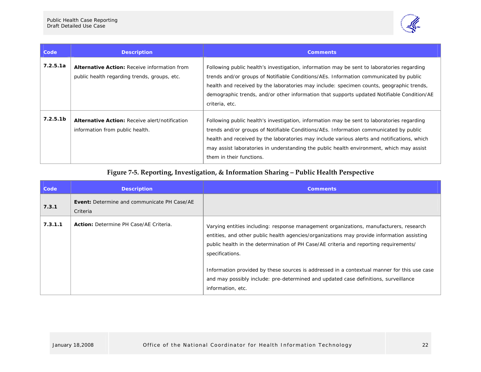

| Code                 | <b>Description</b>                                                                                  | <b>Comments</b>                                                                                                                                                                                                                                                                                                                                                                                            |
|----------------------|-----------------------------------------------------------------------------------------------------|------------------------------------------------------------------------------------------------------------------------------------------------------------------------------------------------------------------------------------------------------------------------------------------------------------------------------------------------------------------------------------------------------------|
| 7.2.5.1a             | <b>Alternative Action: Receive information from</b><br>public health regarding trends, groups, etc. | Following public health's investigation, information may be sent to laboratories regarding<br>trends and/or groups of Notifiable Conditions/AEs. Information communicated by public<br>health and received by the laboratories may include: specimen counts, geographic trends,<br>demographic trends, and/or other information that supports updated Notifiable Condition/AE<br>criteria, etc.            |
| 7.2.5.1 <sub>b</sub> | <b>Alternative Action: Receive alert/notification</b><br>information from public health.            | Following public health's investigation, information may be sent to laboratories regarding<br>trends and/or groups of Notifiable Conditions/AEs. Information communicated by public<br>health and received by the laboratories may include various alerts and notifications, which<br>may assist laboratories in understanding the public health environment, which may assist<br>them in their functions. |

#### **Figure <sup>7</sup>‐5. Reporting, Investigation, & Information Sharing – Public Health Perspective**

<span id="page-24-0"></span>

| <b>Code</b> | <b>Description</b>                                             | <b>Comments</b>                                                                                                                                                                                                                                                                                                                                                                                                                                                                                             |
|-------------|----------------------------------------------------------------|-------------------------------------------------------------------------------------------------------------------------------------------------------------------------------------------------------------------------------------------------------------------------------------------------------------------------------------------------------------------------------------------------------------------------------------------------------------------------------------------------------------|
| 7.3.1       | <b>Event:</b> Determine and communicate PH Case/AE<br>Criteria |                                                                                                                                                                                                                                                                                                                                                                                                                                                                                                             |
| 7.3.1.1     | <b>Action:</b> Determine PH Case/AE Criteria.                  | Varying entities including: response management organizations, manufacturers, research<br>entities, and other public health agencies/organizations may provide information assisting<br>public health in the determination of PH Case/AE criteria and reporting requirements/<br>specifications.<br>Information provided by these sources is addressed in a contextual manner for this use case<br>and may possibly include: pre-determined and updated case definitions, surveillance<br>information, etc. |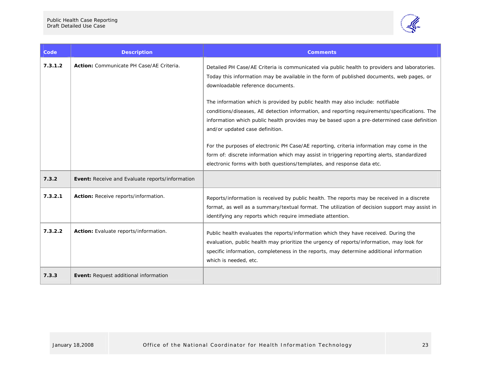

| Code    | <b>Description</b>                              | <b>Comments</b>                                                                                                                                                                                                                                                                                                    |
|---------|-------------------------------------------------|--------------------------------------------------------------------------------------------------------------------------------------------------------------------------------------------------------------------------------------------------------------------------------------------------------------------|
| 7.3.1.2 | Action: Communicate PH Case/AE Criteria.        | Detailed PH Case/AE Criteria is communicated via public health to providers and laboratories.<br>Today this information may be available in the form of published documents, web pages, or<br>downloadable reference documents.                                                                                    |
|         |                                                 | The information which is provided by public health may also include: notifiable<br>conditions/diseases, AE detection information, and reporting requirements/specifications. The<br>information which public health provides may be based upon a pre-determined case definition<br>and/or updated case definition. |
|         |                                                 | For the purposes of electronic PH Case/AE reporting, criteria information may come in the<br>form of: discrete information which may assist in triggering reporting alerts, standardized<br>electronic forms with both questions/templates, and response data etc.                                                 |
| 7.3.2   | Event: Receive and Evaluate reports/information |                                                                                                                                                                                                                                                                                                                    |
| 7.3.2.1 | Action: Receive reports/information.            | Reports/information is received by public health. The reports may be received in a discrete<br>format, as well as a summary/textual format. The utilization of decision support may assist in<br>identifying any reports which require immediate attention.                                                        |
| 7.3.2.2 | Action: Evaluate reports/information.           | Public health evaluates the reports/information which they have received. During the<br>evaluation, public health may prioritize the urgency of reports/information, may look for<br>specific information, completeness in the reports, may determine additional information<br>which is needed, etc.              |
| 7.3.3   | Event: Request additional information           |                                                                                                                                                                                                                                                                                                                    |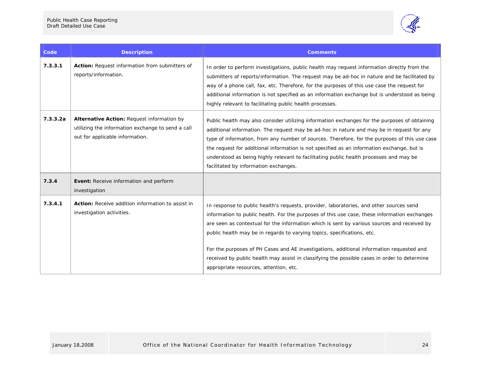

| Code     | <b>Description</b>                                                                                                                 | <b>Comments</b>                                                                                                                                                                                                                                                                                                                                                                                                                                                                                                                                                                                         |
|----------|------------------------------------------------------------------------------------------------------------------------------------|---------------------------------------------------------------------------------------------------------------------------------------------------------------------------------------------------------------------------------------------------------------------------------------------------------------------------------------------------------------------------------------------------------------------------------------------------------------------------------------------------------------------------------------------------------------------------------------------------------|
| 7.3.3.1  | <b>Action:</b> Request information from submitters of<br>reports/information.                                                      | In order to perform investigations, public health may request information directly from the<br>submitters of reports/information. The request may be ad-hoc in nature and be facilitated by<br>way of a phone call, fax, etc. Therefore, for the purposes of this use case the request for<br>additional information is not specified as an information exchange but is understood as being<br>highly relevant to facilitating public health processes.                                                                                                                                                 |
| 7.3.3.2a | Alternative Action: Request information by<br>utilizing the information exchange to send a call<br>out for applicable information. | Public health may also consider utilizing information exchanges for the purposes of obtaining<br>additional information. The request may be ad-hoc in nature and may be in request for any<br>type of information, from any number of sources. Therefore, for the purposes of this use case<br>the request for additional information is not specified as an information exchange, but is<br>understood as being highly relevant to facilitating public health processes and may be<br>facilitated by information exchanges.                                                                            |
| 7.3.4    | Event: Receive information and perform<br>investigation                                                                            |                                                                                                                                                                                                                                                                                                                                                                                                                                                                                                                                                                                                         |
| 7.3.4.1  | <b>Action:</b> Receive addition information to assist in<br>investigation activities.                                              | In response to public health's requests, provider, laboratories, and other sources send<br>information to public health. For the purposes of this use case, these information exchanges<br>are seen as contextual for the information which is sent by various sources and received by<br>public health may be in regards to varying topics, specifications, etc.<br>For the purposes of PH Cases and AE investigations, additional information requested and<br>received by public health may assist in classifying the possible cases in order to determine<br>appropriate resources, attention, etc. |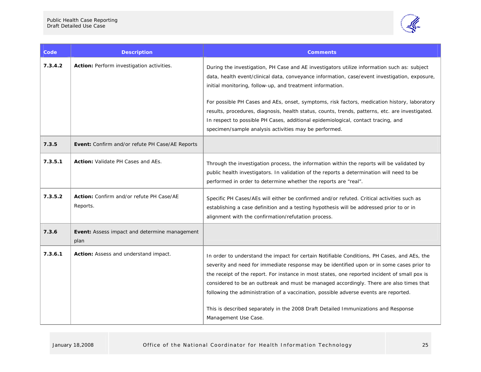

| Code    | <b>Description</b>                                    | <b>Comments</b>                                                                                                                                                                                                                                                                                                                                                                                                                                                                                                                                                                            |
|---------|-------------------------------------------------------|--------------------------------------------------------------------------------------------------------------------------------------------------------------------------------------------------------------------------------------------------------------------------------------------------------------------------------------------------------------------------------------------------------------------------------------------------------------------------------------------------------------------------------------------------------------------------------------------|
| 7.3.4.2 | Action: Perform investigation activities.             | During the investigation, PH Case and AE investigators utilize information such as: subject<br>data, health event/clinical data, conveyance information, case/event investigation, exposure,<br>initial monitoring, follow-up, and treatment information.<br>For possible PH Cases and AEs, onset, symptoms, risk factors, medication history, laboratory<br>results, procedures, diagnosis, health status, counts, trends, patterns, etc. are investigated.<br>In respect to possible PH Cases, additional epidemiological, contact tracing, and                                          |
|         |                                                       | specimen/sample analysis activities may be performed.                                                                                                                                                                                                                                                                                                                                                                                                                                                                                                                                      |
| 7.3.5   | Event: Confirm and/or refute PH Case/AE Reports       |                                                                                                                                                                                                                                                                                                                                                                                                                                                                                                                                                                                            |
| 7.3.5.1 | Action: Validate PH Cases and AEs.                    | Through the investigation process, the information within the reports will be validated by<br>public health investigators. In validation of the reports a determination will need to be<br>performed in order to determine whether the reports are "real".                                                                                                                                                                                                                                                                                                                                 |
| 7.3.5.2 | Action: Confirm and/or refute PH Case/AE<br>Reports.  | Specific PH Cases/AEs will either be confirmed and/or refuted. Critical activities such as<br>establishing a case definition and a testing hypothesis will be addressed prior to or in<br>alignment with the confirmation/refutation process.                                                                                                                                                                                                                                                                                                                                              |
| 7.3.6   | Event: Assess impact and determine management<br>plan |                                                                                                                                                                                                                                                                                                                                                                                                                                                                                                                                                                                            |
| 7.3.6.1 | Action: Assess and understand impact.                 | In order to understand the impact for certain Notifiable Conditions, PH Cases, and AEs, the<br>severity and need for immediate response may be identified upon or in some cases prior to<br>the receipt of the report. For instance in most states, one reported incident of small pox is<br>considered to be an outbreak and must be managed accordingly. There are also times that<br>following the administration of a vaccination, possible adverse events are reported.<br>This is described separately in the 2008 Draft Detailed Immunizations and Response<br>Management Use Case. |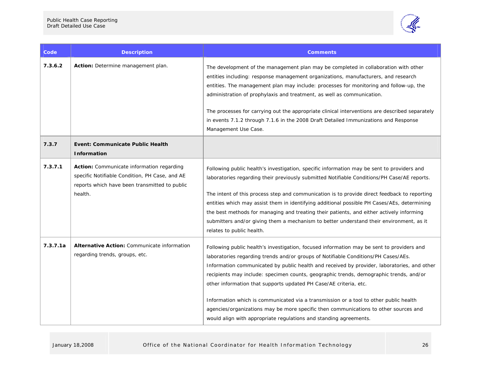

| Code     | <b>Description</b>                                                                                                                                             | <b>Comments</b>                                                                                                                                                                                                                                                                                                                                                                                                                                                                                                                                                                                                                                                                                     |
|----------|----------------------------------------------------------------------------------------------------------------------------------------------------------------|-----------------------------------------------------------------------------------------------------------------------------------------------------------------------------------------------------------------------------------------------------------------------------------------------------------------------------------------------------------------------------------------------------------------------------------------------------------------------------------------------------------------------------------------------------------------------------------------------------------------------------------------------------------------------------------------------------|
| 7.3.6.2  | Action: Determine management plan.                                                                                                                             | The development of the management plan may be completed in collaboration with other<br>entities including: response management organizations, manufacturers, and research<br>entities. The management plan may include: processes for monitoring and follow-up, the<br>administration of prophylaxis and treatment, as well as communication.<br>The processes for carrying out the appropriate clinical interventions are described separately<br>in events 7.1.2 through 7.1.6 in the 2008 Draft Detailed Immunizations and Response<br>Management Use Case.                                                                                                                                      |
| 7.3.7    | Event: Communicate Public Health<br><b>Information</b>                                                                                                         |                                                                                                                                                                                                                                                                                                                                                                                                                                                                                                                                                                                                                                                                                                     |
| 7.3.7.1  | <b>Action:</b> Communicate information regarding<br>specific Notifiable Condition, PH Case, and AE<br>reports which have been transmitted to public<br>health. | Following public health's investigation, specific information may be sent to providers and<br>laboratories regarding their previously submitted Notifiable Conditions/PH Case/AE reports.<br>The intent of this process step and communication is to provide direct feedback to reporting<br>entities which may assist them in identifying additional possible PH Cases/AEs, determining<br>the best methods for managing and treating their patients, and either actively informing<br>submitters and/or giving them a mechanism to better understand their environment, as it<br>relates to public health.                                                                                        |
| 7.3.7.1a | Alternative Action: Communicate information<br>regarding trends, groups, etc.                                                                                  | Following public health's investigation, focused information may be sent to providers and<br>laboratories regarding trends and/or groups of Notifiable Conditions/PH Cases/AEs.<br>Information communicated by public health and received by provider, laboratories, and other<br>recipients may include: specimen counts, geographic trends, demographic trends, and/or<br>other information that supports updated PH Case/AE criteria, etc.<br>Information which is communicated via a transmission or a tool to other public health<br>agencies/organizations may be more specific then communications to other sources and<br>would align with appropriate regulations and standing agreements. |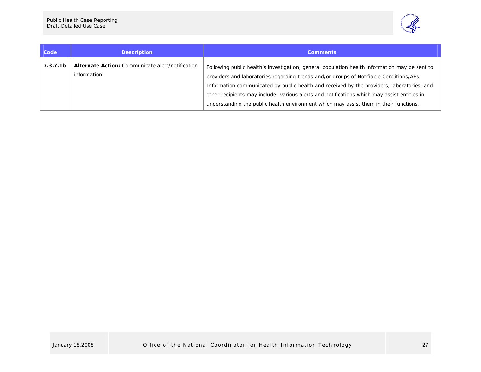

| Code                 | <b>Description</b>                                                      | <b>Comments</b>                                                                                                                                                                                                                                                                                                                                                                                                                                                                |
|----------------------|-------------------------------------------------------------------------|--------------------------------------------------------------------------------------------------------------------------------------------------------------------------------------------------------------------------------------------------------------------------------------------------------------------------------------------------------------------------------------------------------------------------------------------------------------------------------|
| 7.3.7.1 <sub>b</sub> | <b>Alternate Action:</b> Communicate alert/notification<br>information. | Following public health's investigation, general population health information may be sent to<br>providers and laboratories regarding trends and/or groups of Notifiable Conditions/AEs.<br>Information communicated by public health and received by the providers, laboratories, and<br>other recipients may include: various alerts and notifications which may assist entities in<br>understanding the public health environment which may assist them in their functions. |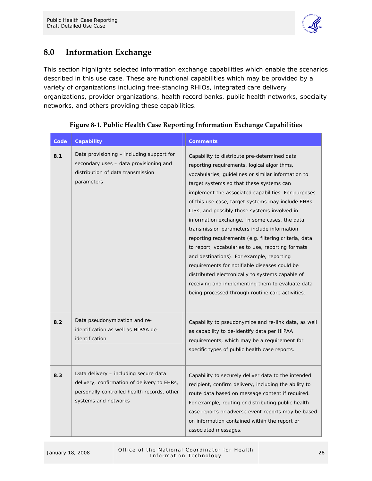

### <span id="page-30-0"></span>**8.0 Information Exchange**

This section highlights selected information exchange capabilities which enable the scenarios described in this use case. These are functional capabilities which may be provided by a variety of organizations including free-standing RHIOs, integrated care delivery organizations, provider organizations, health record banks, public health networks, specialty networks, and others providing these capabilities.

| Code | Capability                                                                                                                                                  | <b>Comments</b>                                                                                                                                                                                                                                                                                                                                                                                                                                                                                                                                                                                                                                                                                                                                                                                                                    |
|------|-------------------------------------------------------------------------------------------------------------------------------------------------------------|------------------------------------------------------------------------------------------------------------------------------------------------------------------------------------------------------------------------------------------------------------------------------------------------------------------------------------------------------------------------------------------------------------------------------------------------------------------------------------------------------------------------------------------------------------------------------------------------------------------------------------------------------------------------------------------------------------------------------------------------------------------------------------------------------------------------------------|
| 8.1  | Data provisioning – including support for<br>secondary uses - data provisioning and<br>distribution of data transmission<br>parameters                      | Capability to distribute pre-determined data<br>reporting requirements, logical algorithms,<br>vocabularies, quidelines or similar information to<br>target systems so that these systems can<br>implement the associated capabilities. For purposes<br>of this use case, target systems may include EHRs,<br>LISs, and possibly those systems involved in<br>information exchange. In some cases, the data<br>transmission parameters include information<br>reporting requirements (e.g. filtering criteria, data<br>to report, vocabularies to use, reporting formats<br>and destinations). For example, reporting<br>requirements for notifiable diseases could be<br>distributed electronically to systems capable of<br>receiving and implementing them to evaluate data<br>being processed through routine care activities. |
| 8.2  | Data pseudonymization and re-<br>identification as well as HIPAA de-<br>identification                                                                      | Capability to pseudonymize and re-link data, as well<br>as capability to de-identify data per HIPAA<br>requirements, which may be a requirement for<br>specific types of public health case reports.                                                                                                                                                                                                                                                                                                                                                                                                                                                                                                                                                                                                                               |
| 8.3  | Data delivery – including secure data<br>delivery, confirmation of delivery to EHRs,<br>personally controlled health records, other<br>systems and networks | Capability to securely deliver data to the intended<br>recipient, confirm delivery, including the ability to<br>route data based on message content if required.<br>For example, routing or distributing public health<br>case reports or adverse event reports may be based<br>on information contained within the report or<br>associated messages.                                                                                                                                                                                                                                                                                                                                                                                                                                                                              |

#### **Figure 8‐1. Public Health Case Reporting Information Exchange Capabilities**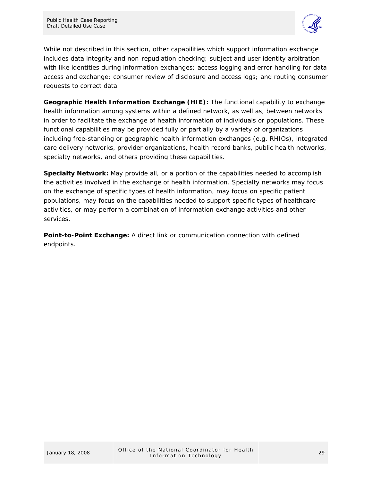

While not described in this section, other capabilities which support information exchange includes data integrity and non-repudiation checking; subject and user identity arbitration with like identities during information exchanges; access logging and error handling for data access and exchange; consumer review of disclosure and access logs; and routing consumer requests to correct data.

**Geographic Health Information Exchange (HIE):** The functional capability to exchange health information among systems within a defined network, as well as, between networks in order to facilitate the exchange of health information of individuals or populations. These functional capabilities may be provided fully or partially by a variety of organizations including free-standing or geographic health information exchanges (e.g. RHIOs), integrated care delivery networks, provider organizations, health record banks, public health networks, specialty networks, and others providing these capabilities.

**Specialty Network:** May provide all, or a portion of the capabilities needed to accomplish the activities involved in the exchange of health information. Specialty networks may focus on the exchange of specific types of health information, may focus on specific patient populations, may focus on the capabilities needed to support specific types of healthcare activities, or may perform a combination of information exchange activities and other services.

**Point-to-Point Exchange:** A direct link or communication connection with defined endpoints.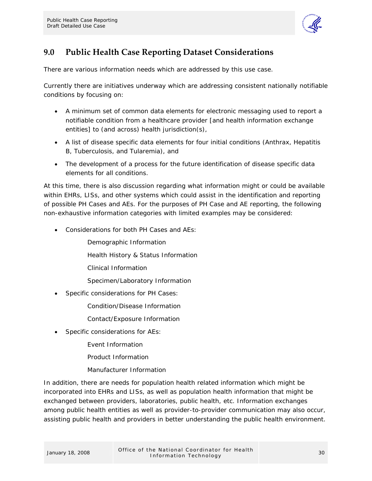

### <span id="page-32-0"></span>**9.0 Public Health Case Reporting Dataset Considerations**

There are various information needs which are addressed by this use case.

Currently there are initiatives underway which are addressing consistent nationally notifiable conditions by focusing on:

- A minimum set of common data elements for electronic messaging used to report a notifiable condition from a healthcare provider [and health information exchange entities] to (and across) health jurisdiction(s),
- A list of disease specific data elements for four initial conditions (Anthrax, Hepatitis B, Tuberculosis, and Tularemia), and
- The development of a process for the future identification of disease specific data elements for all conditions.

At this time, there is also discussion regarding what information might or could be available within EHRs, LISs, and other systems which could assist in the identification and reporting of possible PH Cases and AEs. For the purposes of PH Case and AE reporting, the following non-exhaustive information categories with limited examples may be considered:

- Considerations for both PH Cases and AEs:
	- Demographic Information
	- Health History & Status Information
	- Clinical Information
	- Specimen/Laboratory Information
- Specific considerations for PH Cases:
	- Condition/Disease Information
	- Contact/Exposure Information
- Specific considerations for AEs:
	- Event Information
	- Product Information
	- Manufacturer Information

In addition, there are needs for population health related information which might be incorporated into EHRs and LISs, as well as population health information that might be exchanged between providers, laboratories, public health, etc. Information exchanges among public health entities as well as provider-to-provider communication may also occur, assisting public health and providers in better understanding the public health environment.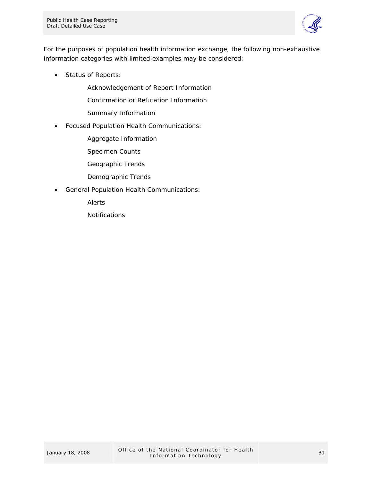

For the purposes of population health information exchange, the following non-exhaustive information categories with limited examples may be considered:

• Status of Reports:

Acknowledgement of Report Information

Confirmation or Refutation Information

Summary Information

• Focused Population Health Communications:

Aggregate Information

Specimen Counts

Geographic Trends

- Demographic Trends
- General Population Health Communications:

Alerts

**Notifications**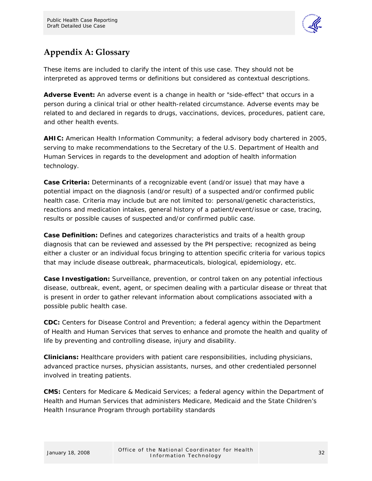

### <span id="page-34-0"></span>**Appendix A: Glossary**

These items are included to clarify the intent of this use case. They should not be interpreted as approved terms or definitions but considered as contextual descriptions.

**Adverse Event:** An adverse event is a change in health or "side-effect" that occurs in a person during a clinical trial or other health-related circumstance. Adverse events may be related to and declared in regards to drugs, vaccinations, devices, procedures, patient care, and other health events.

**AHIC:** American Health Information Community; a federal advisory body chartered in 2005, serving to make recommendations to the Secretary of the U.S. Department of Health and Human Services in regards to the development and adoption of health information technology.

**Case Criteria:** Determinants of a recognizable event (and/or issue) that may have a potential impact on the diagnosis (and/or result) of a suspected and/or confirmed public health case. Criteria may include but are not limited to: personal/genetic characteristics, reactions and medication intakes, general history of a patient/event/issue or case, tracing, results or possible causes of suspected and/or confirmed public case.

**Case Definition:** Defines and categorizes characteristics and traits of a health group diagnosis that can be reviewed and assessed by the PH perspective; recognized as being either a cluster or an individual focus bringing to attention specific criteria for various topics that may include disease outbreak, pharmaceuticals, biological, epidemiology, etc.

**Case Investigation:** Surveillance, prevention, or control taken on any potential infectious disease, outbreak, event, agent, or specimen dealing with a particular disease or threat that is present in order to gather relevant information about complications associated with a possible public health case.

**CDC:** Centers for Disease Control and Prevention; a federal agency within the Department of Health and Human Services that serves to enhance and promote the health and quality of life by preventing and controlling disease, injury and disability.

**Clinicians:** Healthcare providers with patient care responsibilities, including physicians, advanced practice nurses, physician assistants, nurses, and other credentialed personnel involved in treating patients.

**CMS:** Centers for Medicare & Medicaid Services; a federal agency within the Department of Health and Human Services that administers Medicare, Medicaid and the State Children's Health Insurance Program through portability standards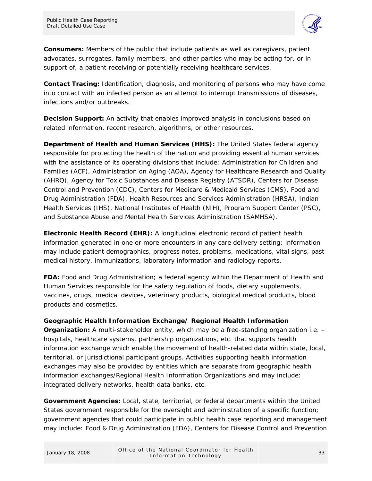

**Consumers:** Members of the public that include patients as well as caregivers, patient advocates, surrogates, family members, and other parties who may be acting for, or in support of, a patient receiving or potentially receiving healthcare services.

**Contact Tracing:** Identification, diagnosis, and monitoring of persons who may have come into contact with an infected person as an attempt to interrupt transmissions of diseases, infections and/or outbreaks.

**Decision Support:** An activity that enables improved analysis in conclusions based on related information, recent research, algorithms, or other resources.

**Department of Health and Human Services (HHS):** The United States federal agency responsible for protecting the health of the nation and providing essential human services with the assistance of its operating divisions that include: Administration for Children and Families (ACF), Administration on Aging (AOA), Agency for Healthcare Research and Quality (AHRQ), Agency for Toxic Substances and Disease Registry (ATSDR), Centers for Disease Control and Prevention (CDC), Centers for Medicare & Medicaid Services (CMS), Food and Drug Administration (FDA), Health Resources and Services Administration (HRSA), Indian Health Services (IHS), National Institutes of Health (NIH), Program Support Center (PSC), and Substance Abuse and Mental Health Services Administration (SAMHSA).

**Electronic Health Record (EHR):** A longitudinal electronic record of patient health information generated in one or more encounters in any care delivery setting; information may include patient demographics, progress notes, problems, medications, vital signs, past medical history, immunizations, laboratory information and radiology reports.

**FDA:** Food and Drug Administration; a federal agency within the Department of Health and Human Services responsible for the safety regulation of foods, dietary supplements, vaccines, drugs, medical devices, veterinary products, biological medical products, blood products and cosmetics.

**Geographic Health Information Exchange/ Regional Health Information Organization:** A multi-stakeholder entity, which may be a free-standing organization i.e. – hospitals, healthcare systems, partnership organizations, etc. that supports health information exchange which enable the movement of health-related data within state, local, territorial, or jurisdictional participant groups. Activities supporting health information exchanges may also be provided by entities which are separate from geographic health information exchanges/Regional Health Information Organizations and may include: integrated delivery networks, health data banks, etc.

**Government Agencies:** Local, state, territorial, or federal departments within the United States government responsible for the oversight and administration of a specific function; government agencies that could participate in public health case reporting and management may include: Food & Drug Administration (FDA), Centers for Disease Control and Prevention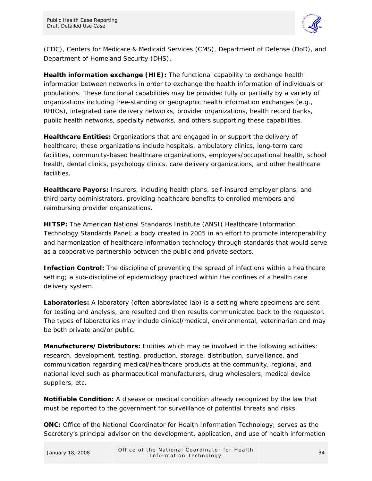

(CDC), Centers for Medicare & Medicaid Services (CMS), Department of Defense (DoD), and Department of Homeland Security (DHS).

**Health information exchange (HIE):** The functional capability to exchange health information between networks in order to exchange the health information of individuals or populations. These functional capabilities may be provided fully or partially by a variety of organizations including free-standing or geographic health information exchanges (e.g., RHIOs), integrated care delivery networks, provider organizations, health record banks, public health networks, specialty networks, and others supporting these capabilities.

**Healthcare Entities:** Organizations that are engaged in or support the delivery of healthcare; these organizations include hospitals, ambulatory clinics, long-term care facilities, community-based healthcare organizations, employers/occupational health, school health, dental clinics, psychology clinics, care delivery organizations, and other healthcare facilities.

**Healthcare Payors:** Insurers, including health plans, self-insured employer plans, and third party administrators, providing healthcare benefits to enrolled members and reimbursing provider organizations**.** 

**HITSP:** The American National Standards Institute (ANSI) Healthcare Information Technology Standards Panel; a body created in 2005 in an effort to promote interoperability and harmonization of healthcare information technology through standards that would serve as a cooperative partnership between the public and private sectors.

**Infection Control:** The discipline of preventing the spread of infections within a healthcare setting; a sub-discipline of epidemiology practiced within the confines of a health care delivery system.

**Laboratories:** A laboratory (often abbreviated lab) is a setting where specimens are sent for testing and analysis, are resulted and then results communicated back to the requestor. The types of laboratories may include clinical/medical, environmental, veterinarian and may be both private and/or public.

**Manufacturers/Distributors:** Entities which may be involved in the following activities: research, development, testing, production, storage, distribution, surveillance, and communication regarding medical/healthcare products at the community, regional, and national level such as pharmaceutical manufacturers, drug wholesalers, medical device suppliers, etc.

**Notifiable Condition:** A disease or medical condition already recognized by the law that must be reported to the government for surveillance of potential threats and risks.

**ONC:** Office of the National Coordinator for Health Information Technology; serves as the Secretary's principal advisor on the development, application, and use of health information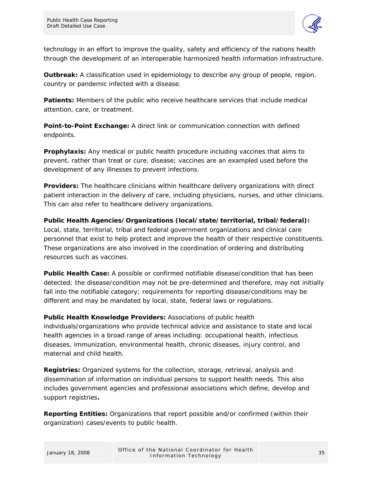

technology in an effort to improve the quality, safety and efficiency of the nations health through the development of an interoperable harmonized health information infrastructure.

**Outbreak:** A classification used in epidemiology to describe any group of people, region, country or pandemic infected with a disease.

**Patients:** Members of the public who receive healthcare services that include medical attention, care, or treatment.

**Point-to-Point Exchange:** A direct link or communication connection with defined endpoints.

**Prophylaxis:** Any medical or public health procedure including vaccines that aims to prevent, rather than treat or cure, disease; vaccines are an exampled used before the development of any illnesses to prevent infections.

**Providers:** The healthcare clinicians within healthcare delivery organizations with direct patient interaction in the delivery of care, including physicians, nurses, and other clinicians. This can also refer to healthcare delivery organizations.

**Public Health Agencies/Organizations (local/state/territorial, tribal/federal):** Local, state, territorial, tribal and federal government organizations and clinical care personnel that exist to help protect and improve the health of their respective constituents. These organizations are also involved in the coordination of ordering and distributing resources such as vaccines.

**Public Health Case:** A possible or confirmed notifiable disease/condition that has been detected; the disease/condition may not be pre-determined and therefore, may not initially fall into the notifiable category; requirements for reporting disease/conditions may be different and may be mandated by local, state, federal laws or regulations.

**Public Health Knowledge Providers:** Associations of public health individuals/organizations who provide technical advice and assistance to state and local health agencies in a broad range of areas including: occupational health, infectious diseases, immunization, environmental health, chronic diseases, injury control, and maternal and child health.

**Registries:** Organized systems for the collection, storage, retrieval, analysis and dissemination of information on individual persons to support health needs. This also includes government agencies and professional associations which define, develop and support registries**.** 

**Reporting Entities:** Organizations that report possible and/or confirmed (within their organization) cases/events to public health.